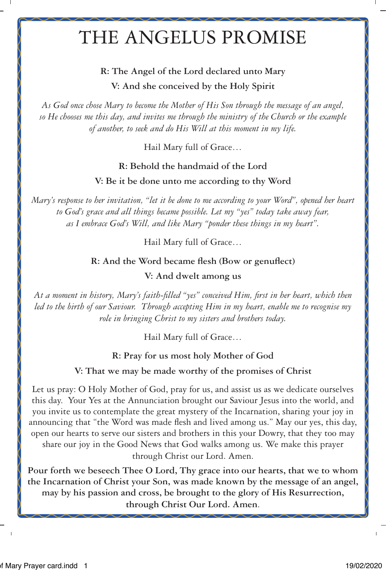# THE ANGELUS PROMISE

### **R: The Angel of the Lord declared unto Mary V: And she conceived by the Holy Spirit**

*As God once chose Mary to become the Mother of His Son through the message of an angel, so He chooses me this day, and invites me through the ministry of the Church or the example of another, to seek and do His Will at this moment in my life.* 

Hail Mary full of Grace…

#### **R: Behold the handmaid of the Lord**

**V: Be it be done unto me according to thy Word**

*Mary's response to her invitation, "let it be done to me according to your Word", opened her heart to God's grace and all things became possible. Let my "yes" today take away fear, as I embrace God's Will, and like Mary "ponder these things in my heart".*

Hail Mary full of Grace…

#### **R: And the Word became flesh (Bow or genuflect)**

#### **V: And dwelt among us**

*At a moment in history, Mary's faith-filled "yes" conceived Him, first in her heart, which then led to the birth of our Saviour. Through accepting Him in my heart, enable me to recognise my role in bringing Christ to my sisters and brothers today.*

Hail Mary full of Grace…

**R: Pray for us most holy Mother of God**

**V: That we may be made worthy of the promises of Christ**

Let us pray: O Holy Mother of God, pray for us, and assist us as we dedicate ourselves this day. Your Yes at the Annunciation brought our Saviour Jesus into the world, and you invite us to contemplate the great mystery of the Incarnation, sharing your joy in announcing that "the Word was made flesh and lived among us." May our yes, this day, open our hearts to serve our sisters and brothers in this your Dowry, that they too may share our joy in the Good News that God walks among us. We make this prayer through Christ our Lord. Amen.

**Pour forth we beseech Thee O Lord, Thy grace into our hearts, that we to whom the Incarnation of Christ your Son, was made known by the message of an angel, may by his passion and cross, be brought to the glory of His Resurrection, through Christ Our Lord. Amen**.